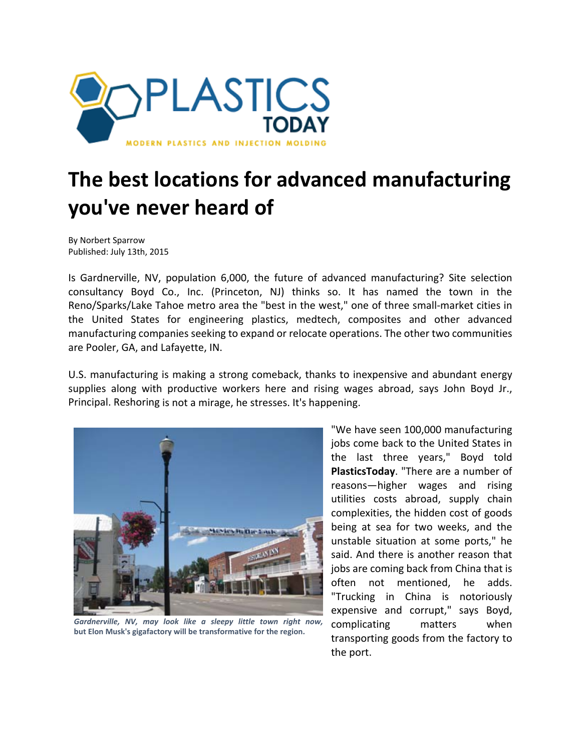

## **The best locations for advanced manufacturing you've never heard of**

By Norbert Sparrow Published: July 13th, 2015

Is Gardnerville, NV, population 6,000, the future of advanced manufacturing? Site selection consultancy Boyd Co., Inc. (Princeton, NJ) thinks so. It has named the town in the Reno/Sparks/Lake Tahoe metro area the "best in the west," one of three small‐market cities in the United States for engineering plastics, medtech, composites and other advanced manufacturing companies seeking to expand or relocate operations. The other two communities are Pooler, GA, and Lafayette, IN.

U.S. manufacturing is making a strong comeback, thanks to inexpensive and abundant energy supplies along with productive workers here and rising wages abroad, says John Boyd Jr., Principal. Reshoring is not a mirage, he stresses. It's happening.



*Gardnerville, NV, may look like a sleepy little town right now,* **but Elon Musk's gigafactory will be transformative for the region.**

"We have seen 100,000 manufacturing jobs come back to the United States in the last three years," Boyd told **PlasticsToday**. "There are a number of reasons—higher wages and rising utilities costs abroad, supply chain complexities, the hidden cost of goods being at sea for two weeks, and the unstable situation at some ports," he said. And there is another reason that jobs are coming back from China that is often not mentioned, he adds. "Trucking in China is notoriously expensive and corrupt," says Boyd, complicating matters when transporting goods from the factory to the port.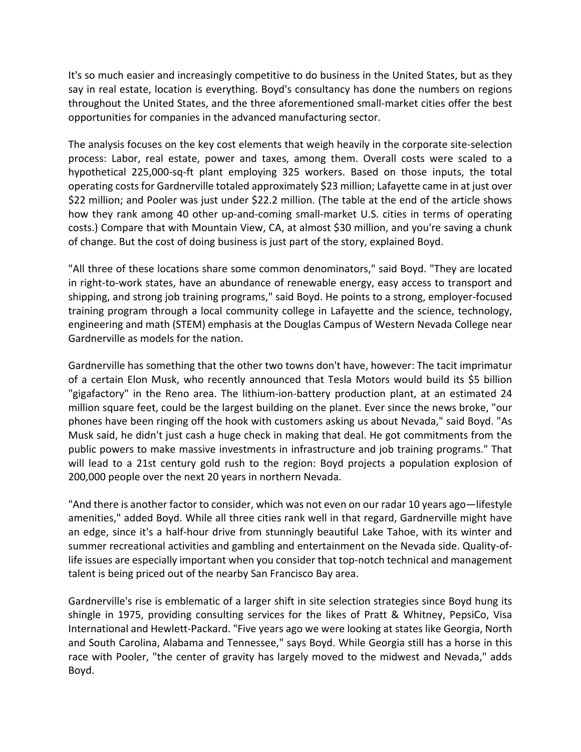It's so much easier and increasingly competitive to do business in the United States, but as they say in real estate, location is everything. Boyd's consultancy has done the numbers on regions throughout the United States, and the three aforementioned small‐market cities offer the best opportunities for companies in the advanced manufacturing sector.

The analysis focuses on the key cost elements that weigh heavily in the corporate site-selection process: Labor, real estate, power and taxes, among them. Overall costs were scaled to a hypothetical 225,000-sq-ft plant employing 325 workers. Based on those inputs, the total operating costs for Gardnerville totaled approximately \$23 million; Lafayette came in at just over \$22 million; and Pooler was just under \$22.2 million. (The table at the end of the article shows how they rank among 40 other up-and-coming small-market U.S. cities in terms of operating costs.) Compare that with Mountain View, CA, at almost \$30 million, and you're saving a chunk of change. But the cost of doing business is just part of the story, explained Boyd.

"All three of these locations share some common denominators," said Boyd. "They are located in right‐to‐work states, have an abundance of renewable energy, easy access to transport and shipping, and strong job training programs," said Boyd. He points to a strong, employer‐focused training program through a local community college in Lafayette and the science, technology, engineering and math (STEM) emphasis at the Douglas Campus of Western Nevada College near Gardnerville as models for the nation.

Gardnerville has something that the other two towns don't have, however: The tacit imprimatur of a certain Elon Musk, who recently announced that Tesla Motors would build its \$5 billion "gigafactory" in the Reno area. The lithium‐ion‐battery production plant, at an estimated 24 million square feet, could be the largest building on the planet. Ever since the news broke, "our phones have been ringing off the hook with customers asking us about Nevada," said Boyd. "As Musk said, he didn't just cash a huge check in making that deal. He got commitments from the public powers to make massive investments in infrastructure and job training programs." That will lead to a 21st century gold rush to the region: Boyd projects a population explosion of 200,000 people over the next 20 years in northern Nevada.

"And there is another factor to consider, which was not even on our radar 10 years ago—lifestyle amenities," added Boyd. While all three cities rank well in that regard, Gardnerville might have an edge, since it's a half-hour drive from stunningly beautiful Lake Tahoe, with its winter and summer recreational activities and gambling and entertainment on the Nevada side. Quality-oflife issues are especially important when you consider that top-notch technical and management talent is being priced out of the nearby San Francisco Bay area.

Gardnerville's rise is emblematic of a larger shift in site selection strategies since Boyd hung its shingle in 1975, providing consulting services for the likes of Pratt & Whitney, PepsiCo, Visa International and Hewlett‐Packard. "Five years ago we were looking at states like Georgia, North and South Carolina, Alabama and Tennessee," says Boyd. While Georgia still has a horse in this race with Pooler, "the center of gravity has largely moved to the midwest and Nevada," adds Boyd.